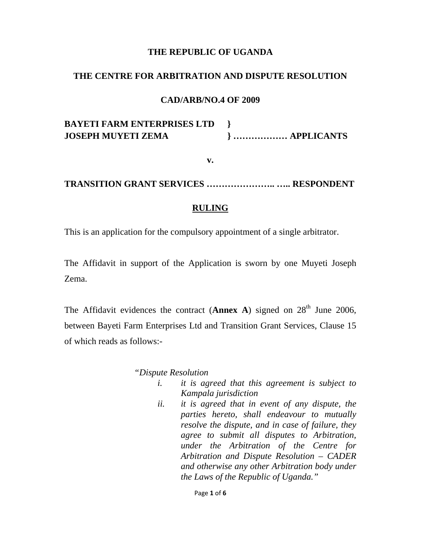## **THE REPUBLIC OF UGANDA**

#### **THE CENTRE FOR ARBITRATION AND DISPUTE RESOLUTION**

## **CAD/ARB/NO.4 OF 2009**

# **BAYETI FARM ENTERPRISES LTD } JOSEPH MUYETI ZEMA } ……………… APPLICANTS**

**v.** 

## **TRANSITION GRANT SERVICES ………………….. ….. RESPONDENT**

## **RULING**

This is an application for the compulsory appointment of a single arbitrator.

The Affidavit in support of the Application is sworn by one Muyeti Joseph Zema.

The Affidavit evidences the contract (**Annex A**) signed on  $28<sup>th</sup>$  June 2006. between Bayeti Farm Enterprises Ltd and Transition Grant Services, Clause 15 of which reads as follows:-

#### *"Dispute Resolution*

- *i. it is agreed that this agreement is subject to Kampala jurisdiction*
- *ii. it is agreed that in event of any dispute, the parties hereto, shall endeavour to mutually resolve the dispute, and in case of failure, they agree to submit all disputes to Arbitration, under the Arbitration of the Centre for Arbitration and Dispute Resolution – CADER and otherwise any other Arbitration body under the Laws of the Republic of Uganda."*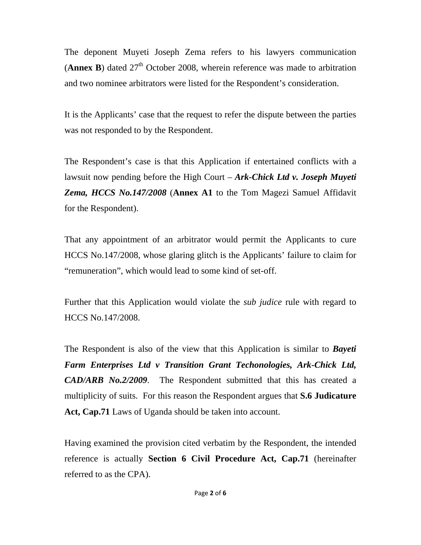The deponent Muyeti Joseph Zema refers to his lawyers communication (**Annex B**) dated  $27<sup>th</sup>$  October 2008, wherein reference was made to arbitration and two nominee arbitrators were listed for the Respondent's consideration.

It is the Applicants' case that the request to refer the dispute between the parties was not responded to by the Respondent.

The Respondent's case is that this Application if entertained conflicts with a lawsuit now pending before the High Court – *Ark-Chick Ltd v. Joseph Muyeti Zema, HCCS No.147/2008* (**Annex A1** to the Tom Magezi Samuel Affidavit for the Respondent).

That any appointment of an arbitrator would permit the Applicants to cure HCCS No.147/2008, whose glaring glitch is the Applicants' failure to claim for "remuneration", which would lead to some kind of set-off.

Further that this Application would violate the *sub judice* rule with regard to HCCS No.147/2008.

The Respondent is also of the view that this Application is similar to *Bayeti Farm Enterprises Ltd v Transition Grant Techonologies, Ark-Chick Ltd, CAD/ARB No.2/2009*. The Respondent submitted that this has created a multiplicity of suits. For this reason the Respondent argues that **S.6 Judicature Act, Cap.71** Laws of Uganda should be taken into account.

Having examined the provision cited verbatim by the Respondent, the intended reference is actually **Section 6 Civil Procedure Act, Cap.71** (hereinafter referred to as the CPA).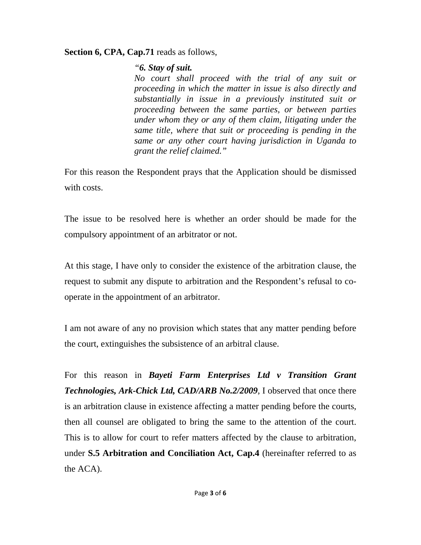# **Section 6, CPA, Cap.71** reads as follows,

# *"6. Stay of suit.*

*No court shall proceed with the trial of any suit or proceeding in which the matter in issue is also directly and substantially in issue in a previously instituted suit or proceeding between the same parties, or between parties under whom they or any of them claim, litigating under the same title, where that suit or proceeding is pending in the same or any other court having jurisdiction in Uganda to grant the relief claimed."* 

For this reason the Respondent prays that the Application should be dismissed with costs.

The issue to be resolved here is whether an order should be made for the compulsory appointment of an arbitrator or not.

At this stage, I have only to consider the existence of the arbitration clause, the request to submit any dispute to arbitration and the Respondent's refusal to cooperate in the appointment of an arbitrator.

I am not aware of any no provision which states that any matter pending before the court, extinguishes the subsistence of an arbitral clause.

For this reason in *Bayeti Farm Enterprises Ltd v Transition Grant Technologies, Ark-Chick Ltd, CAD/ARB No.2/2009*, I observed that once there is an arbitration clause in existence affecting a matter pending before the courts, then all counsel are obligated to bring the same to the attention of the court. This is to allow for court to refer matters affected by the clause to arbitration, under **S.5 Arbitration and Conciliation Act, Cap.4** (hereinafter referred to as the ACA).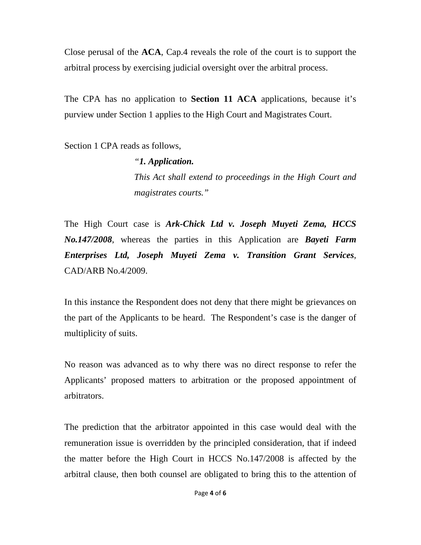Close perusal of the **ACA**, Cap.4 reveals the role of the court is to support the arbitral process by exercising judicial oversight over the arbitral process.

The CPA has no application to **Section 11 ACA** applications, because it's purview under Section 1 applies to the High Court and Magistrates Court.

Section 1 CPA reads as follows,

*"1. Application. This Act shall extend to proceedings in the High Court and magistrates courts."* 

The High Court case is *Ark-Chick Ltd v. Joseph Muyeti Zema, HCCS No.147/2008*, whereas the parties in this Application are *Bayeti Farm Enterprises Ltd, Joseph Muyeti Zema v. Transition Grant Services*, CAD/ARB No.4/2009.

In this instance the Respondent does not deny that there might be grievances on the part of the Applicants to be heard. The Respondent's case is the danger of multiplicity of suits.

No reason was advanced as to why there was no direct response to refer the Applicants' proposed matters to arbitration or the proposed appointment of arbitrators.

The prediction that the arbitrator appointed in this case would deal with the remuneration issue is overridden by the principled consideration, that if indeed the matter before the High Court in HCCS No.147/2008 is affected by the arbitral clause, then both counsel are obligated to bring this to the attention of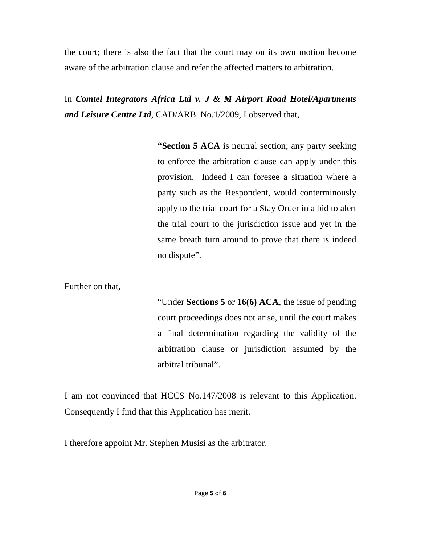the court; there is also the fact that the court may on its own motion become aware of the arbitration clause and refer the affected matters to arbitration.

In *Comtel Integrators Africa Ltd v. J & M Airport Road Hotel/Apartments and Leisure Centre Ltd*, CAD/ARB. No.1/2009, I observed that,

> **"Section 5 ACA** is neutral section; any party seeking to enforce the arbitration clause can apply under this provision. Indeed I can foresee a situation where a party such as the Respondent, would conterminously apply to the trial court for a Stay Order in a bid to alert the trial court to the jurisdiction issue and yet in the same breath turn around to prove that there is indeed no dispute".

Further on that,

"Under **Sections 5** or **16(6) ACA**, the issue of pending court proceedings does not arise, until the court makes a final determination regarding the validity of the arbitration clause or jurisdiction assumed by the arbitral tribunal".

I am not convinced that HCCS No.147/2008 is relevant to this Application. Consequently I find that this Application has merit.

I therefore appoint Mr. Stephen Musisi as the arbitrator.